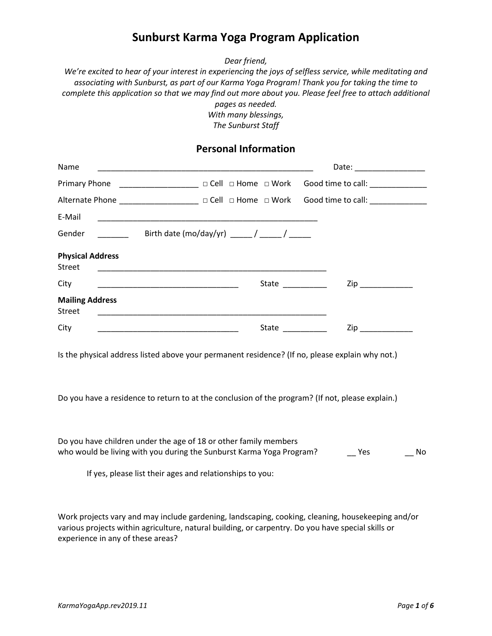# **Sunburst Karma Yoga Program Application**

*Dear friend,* 

*We're excited to hear of your interest in experiencing the joys of selfless service, while meditating and associating with Sunburst, as part of our Karma Yoga Program! Thank you for taking the time to complete this application so that we may find out more about you. Please feel free to attach additional pages as needed. With many blessings,* 

*The Sunburst Staff* 

### **Personal Information**

| Name                                     |                                                                                                                                                                                                      | Date: __________________                                                                                                                                                                                                       |  |  |
|------------------------------------------|------------------------------------------------------------------------------------------------------------------------------------------------------------------------------------------------------|--------------------------------------------------------------------------------------------------------------------------------------------------------------------------------------------------------------------------------|--|--|
| Primary Phone                            | <b>______________________</b> □ Cell □ Home □ Work                                                                                                                                                   | Good time to call: ______________                                                                                                                                                                                              |  |  |
|                                          | Alternate Phone __________________ □ Cell □ Home □ Work                                                                                                                                              | Good time to call: ____________                                                                                                                                                                                                |  |  |
| E-Mail                                   | <u> 1989 - Johann John Stone, markin film yn y brening yn y brening yn y brening yn y brening yn y brening yn y b</u>                                                                                |                                                                                                                                                                                                                                |  |  |
| Gender                                   | Birth date (mo/day/yr) _____/ _____/ _____                                                                                                                                                           |                                                                                                                                                                                                                                |  |  |
| <b>Physical Address</b><br><b>Street</b> |                                                                                                                                                                                                      |                                                                                                                                                                                                                                |  |  |
| City                                     | State $\frac{1}{\sqrt{1-\frac{1}{2}}\cdot\frac{1}{\sqrt{1-\frac{1}{2}}}}$                                                                                                                            | Ziper and the second service of the series of the series of the series of the series of the series of the series of the series of the series of the series of the series of the series of the series of the series of the seri |  |  |
| <b>Mailing Address</b><br><b>Street</b>  |                                                                                                                                                                                                      |                                                                                                                                                                                                                                |  |  |
| City                                     | State _________                                                                                                                                                                                      | Ziperator and the set of the set of the set of the set of the set of the set of the set of the set of the set                                                                                                                  |  |  |
|                                          | Is the physical address listed above your permanent residence? (If no, please explain why not.)                                                                                                      |                                                                                                                                                                                                                                |  |  |
|                                          | Do you have a residence to return to at the conclusion of the program? (If not, please explain.)                                                                                                     |                                                                                                                                                                                                                                |  |  |
|                                          | Do you have children under the age of 18 or other family members<br>who would be living with you during the Sunburst Karma Yoga Program?<br>If yes, please list their ages and relationships to you: | Yes<br>No                                                                                                                                                                                                                      |  |  |
|                                          |                                                                                                                                                                                                      |                                                                                                                                                                                                                                |  |  |

Work projects vary and may include gardening, landscaping, cooking, cleaning, housekeeping and/or various projects within agriculture, natural building, or carpentry. Do you have special skills or experience in any of these areas?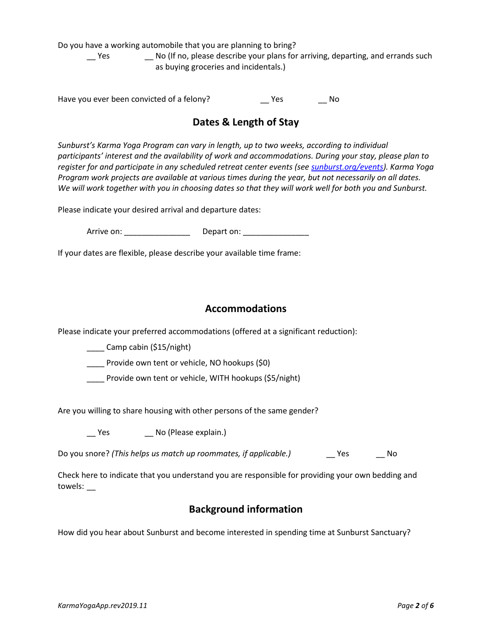Do you have a working automobile that you are planning to bring?

\_\_ Yes \_\_ No (If no, please describe your plans for arriving, departing, and errands such as buying groceries and incidentals.)

Have you ever been convicted of a felony? \_\_ Yes \_\_ No

# **Dates & Length of Stay**

*Sunburst's Karma Yoga Program can vary in length, up to two weeks, according to individual participants' interest and the availability of work and accommodations. During your stay, please plan to register for and participate in any scheduled retreat center events (see [sunburst.org/events\)](http://www.sunburst.org/upcoming). Karma Yoga Program work projects are available at various times during the year, but not necessarily on all dates. We will work together with you in choosing dates so that they will work well for both you and Sunburst.* 

Please indicate your desired arrival and departure dates:

Arrive on: \_\_\_\_\_\_\_\_\_\_\_\_\_\_\_ Depart on: \_\_\_\_\_\_\_\_\_\_\_\_\_\_\_

If your dates are flexible, please describe your available time frame:

### **Accommodations**

Please indicate your preferred accommodations (offered at a significant reduction):

\_\_\_\_ Camp cabin (\$15/night)

Provide own tent or vehicle, NO hookups (\$0)

\_\_\_\_ Provide own tent or vehicle, WITH hookups (\$5/night)

Are you willing to share housing with other persons of the same gender?

\_\_ Yes \_\_ No (Please explain.)

Do you snore? *(This helps us match up roommates, if applicable.)* \_\_\_\_\_\_\_\_Yes \_\_\_\_\_\_\_\_No

Check here to indicate that you understand you are responsible for providing your own bedding and towels: \_\_

## **Background information**

How did you hear about Sunburst and become interested in spending time at Sunburst Sanctuary?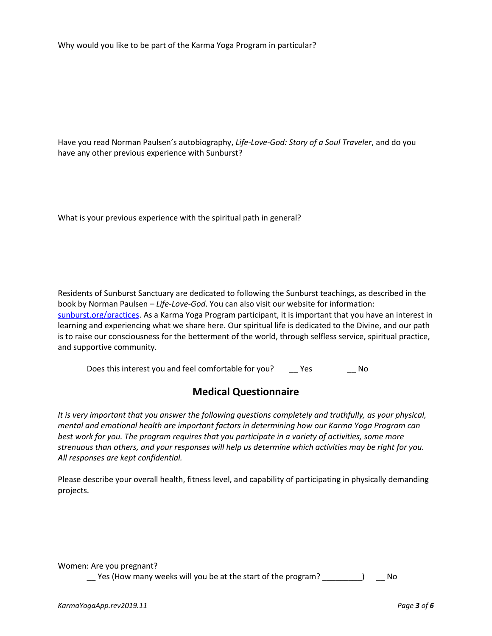Why would you like to be part of the Karma Yoga Program in particular?

Have you read Norman Paulsen's autobiography, *Life-Love-God: Story of a Soul Traveler*, and do you have any other previous experience with Sunburst?

What is your previous experience with the spiritual path in general?

Residents of Sunburst Sanctuary are dedicated to following the Sunburst teachings, as described in the book by Norman Paulsen – *Life-Love-God*. You can also visit our website for information: [sunburst.org/practices.](http://www.sunburst.org/practices) As a Karma Yoga Program participant, it is important that you have an interest in learning and experiencing what we share here. Our spiritual life is dedicated to the Divine, and our path is to raise our consciousness for the betterment of the world, through selfless service, spiritual practice, and supportive community.

Does this interest you and feel comfortable for you? \_\_\_\_\_ Yes \_\_\_\_\_\_\_\_\_\_ No

## **Medical Questionnaire**

*It is very important that you answer the following questions completely and truthfully, as your physical, mental and emotional health are important factors in determining how our Karma Yoga Program can best work for you. The program requires that you participate in a variety of activities, some more strenuous than others, and your responses will help us determine which activities may be right for you. All responses are kept confidential.* 

Please describe your overall health, fitness level, and capability of participating in physically demanding projects.

Women: Are you pregnant?

\_\_ Yes (How many weeks will you be at the start of the program? \_\_\_\_\_\_\_\_\_) \_\_ No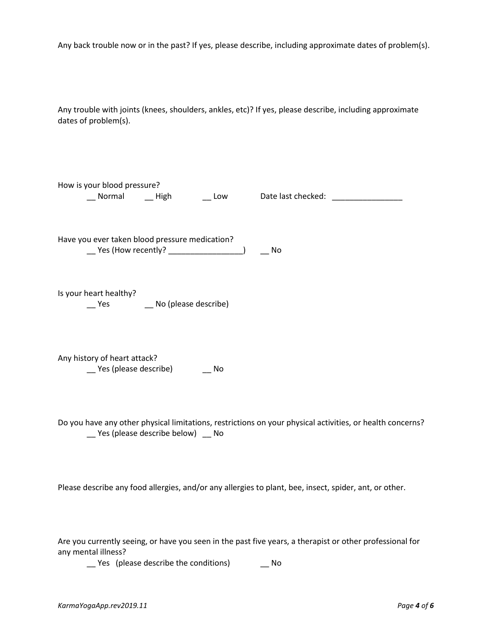| Any back trouble now or in the past? If yes, please describe, including approximate dates of problem(s).                                          |  |  |
|---------------------------------------------------------------------------------------------------------------------------------------------------|--|--|
| Any trouble with joints (knees, shoulders, ankles, etc)? If yes, please describe, including approximate<br>dates of problem(s).                   |  |  |
| How is your blood pressure?<br>__ Normal ___ High ___ _ _ Low ___ Date last checked: __________________________                                   |  |  |
| Have you ever taken blood pressure medication?<br>__ Yes (How recently? ____________________)<br>No.                                              |  |  |
| Is your heart healthy?<br>__ Yes ___ _ No (please describe)                                                                                       |  |  |
| Any history of heart attack?<br>__ Yes (please describe) ____ No                                                                                  |  |  |
| Do you have any other physical limitations, restrictions on your physical activities, or health concerns?<br>__ Yes (please describe below) __ No |  |  |
| Please describe any food allergies, and/or any allergies to plant, bee, insect, spider, ant, or other.                                            |  |  |
| Are you currently seeing, or have you seen in the past five years, a therapist or other professional for                                          |  |  |

Are you currently seeing, or have you seen in the past five years, a therapist or other professional for any mental illness?

\_\_ Yes (please describe the conditions) \_\_ No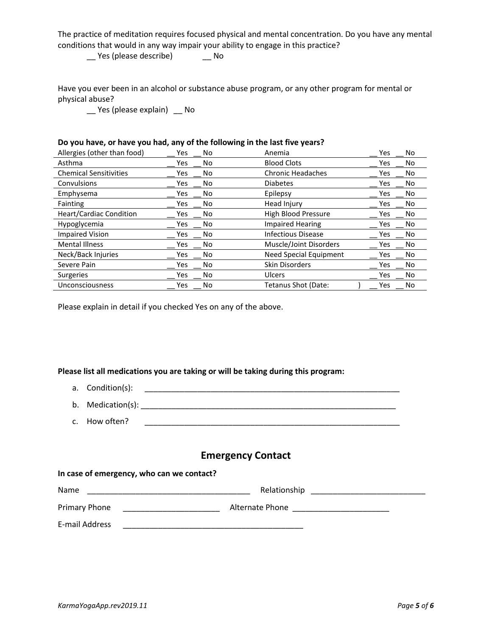The practice of meditation requires focused physical and mental concentration. Do you have any mental conditions that would in any way impair your ability to engage in this practice?

\_\_ Yes (please describe) \_\_ No

Have you ever been in an alcohol or substance abuse program, or any other program for mental or physical abuse?

\_\_ Yes (please explain) \_\_ No

#### **Do you have, or have you had, any of the following in the last five years?**

| Allergies (other than food)    | No<br>Yes | Anemia                    |     | No |
|--------------------------------|-----------|---------------------------|-----|----|
| Asthma                         | Yes<br>No | <b>Blood Clots</b>        | Yes | No |
| <b>Chemical Sensitivities</b>  | No<br>Yes | <b>Chronic Headaches</b>  | Yes | No |
| Convulsions                    | No<br>Yes | <b>Diabetes</b>           | Yes | No |
| Emphysema                      | No<br>Yes | Epilepsy                  | Yes | No |
| Fainting                       | Yes<br>No | Head Injury               | Yes | No |
| <b>Heart/Cardiac Condition</b> | No<br>Yes | High Blood Pressure       | Yes | No |
| Hypoglycemia                   | No<br>Yes | <b>Impaired Hearing</b>   | Yes | No |
| <b>Impaired Vision</b>         | No<br>Yes | <b>Infectious Disease</b> | Yes | No |
| <b>Mental Illness</b>          | No<br>Yes | Muscle/Joint Disorders    | Yes | No |
| Neck/Back Injuries             | No<br>Yes | Need Special Equipment    | Yes | No |
| Severe Pain                    | No<br>Yes | <b>Skin Disorders</b>     | Yes | No |
| Surgeries                      | No<br>Yes | Ulcers                    | Yes | No |
| Unconsciousness                | No<br>Yes | Tetanus Shot (Date:       | Yes | No |

Please explain in detail if you checked Yes on any of the above.

#### **Please list all medications you are taking or will be taking during this program:**

- a. Condition(s): \_\_\_\_\_\_\_\_\_\_\_\_\_\_\_\_\_\_\_\_\_\_\_\_\_\_\_\_\_\_\_\_\_\_\_\_\_\_\_\_\_\_\_\_\_\_\_\_\_\_\_\_\_\_\_\_\_\_
- b. Medication(s): \_\_\_\_\_\_\_\_\_\_\_\_\_\_\_\_\_\_\_\_\_\_\_\_\_\_\_\_\_\_\_\_\_\_\_\_\_\_\_\_\_\_\_\_\_\_\_\_\_\_\_\_\_\_\_\_\_\_
- c. How often?

### **Emergency Contact**

#### **In case of emergency, who can we contact?**

| Name           | Relationship    |  |  |
|----------------|-----------------|--|--|
| Primary Phone  | Alternate Phone |  |  |
| E-mail Address |                 |  |  |